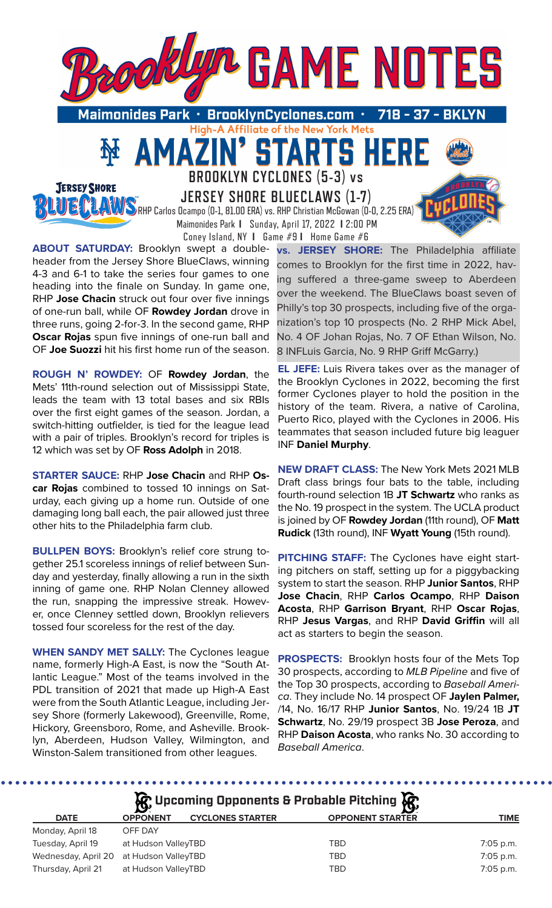

High-A Affiliate of the New York Mets

**TAI** 

**RTS** 

**BROOKLYN CYCLONES (5-3) vs** 

51

**JERSEY SHORE BLUECLAWS (1-7)**

 Maimonides Park **I** Sunday, April 17, 2022 **I** 2:00 PM Coney Island, NY **I** Game #9 **I** Home Game #6

RHP Carlos Ocampo (0-1, 81.00 ERA) vs. RHP Christian McGowan (0-0, 2.25 ERA)

**ABOUT SATURDAY:** Brooklyn swept a doubleheader from the Jersey Shore BlueClaws, winning 4-3 and 6-1 to take the series four games to one heading into the finale on Sunday. In game one, RHP **Jose Chacin** struck out four over five innings of one-run ball, while OF **Rowdey Jordan** drove in three runs, going 2-for-3. In the second game, RHP **Oscar Rojas** spun five innings of one-run ball and OF **Joe Suozzi** hit his first home run of the season.

**JERSEY SHORE FIFE MILI** 

**ROUGH N' ROWDEY:** OF **Rowdey Jordan**, the Mets' 11th-round selection out of Mississippi State, leads the team with 13 total bases and six RBIs over the first eight games of the season. Jordan, a switch-hitting outfielder, is tied for the league lead with a pair of triples. Brooklyn's record for triples is 12 which was set by OF **Ross Adolph** in 2018.

**STARTER SAUCE:** RHP **Jose Chacin** and RHP **Oscar Rojas** combined to tossed 10 innings on Saturday, each giving up a home run. Outside of one damaging long ball each, the pair allowed just three other hits to the Philadelphia farm club.

**BULLPEN BOYS:** Brooklyn's relief core strung together 25.1 scoreless innings of relief between Sunday and yesterday, finally allowing a run in the sixth inning of game one. RHP Nolan Clenney allowed the run, snapping the impressive streak. However, once Clenney settled down, Brooklyn relievers tossed four scoreless for the rest of the day.

**WHEN SANDY MET SALLY:** The Cyclones league name, formerly High-A East, is now the "South Atlantic League." Most of the teams involved in the PDL transition of 2021 that made up High-A East were from the South Atlantic League, including Jersey Shore (formerly Lakewood), Greenville, Rome, Hickory, Greensboro, Rome, and Asheville. Brooklyn, Aberdeen, Hudson Valley, Wilmington, and Winston-Salem transitioned from other leagues.

**vs. JERSEY SHORE:** The Philadelphia affiliate comes to Brooklyn for the first time in 2022, having suffered a three-game sweep to Aberdeen over the weekend. The BlueClaws boast seven of Philly's top 30 prospects, including five of the organization's top 10 prospects (No. 2 RHP Mick Abel, No. 4 OF Johan Rojas, No. 7 OF Ethan Wilson, No. 8 INFLuis Garcia, No. 9 RHP Griff McGarry.)

**EL JEFE:** Luis Rivera takes over as the manager of the Brooklyn Cyclones in 2022, becoming the first former Cyclones player to hold the position in the history of the team. Rivera, a native of Carolina, Puerto Rico, played with the Cyclones in 2006. His teammates that season included future big leaguer INF **Daniel Murphy**.

**NEW DRAFT CLASS:** The New York Mets 2021 MLB Draft class brings four bats to the table, including fourth-round selection 1B **JT Schwartz** who ranks as the No. 19 prospect in the system. The UCLA product is joined by OF **Rowdey Jordan** (11th round), OF **Matt Rudick** (13th round), INF **Wyatt Young** (15th round).

**PITCHING STAFF:** The Cyclones have eight starting pitchers on staff, setting up for a piggybacking system to start the season. RHP **Junior Santos**, RHP **Jose Chacin**, RHP **Carlos Ocampo**, RHP **Daison Acosta**, RHP **Garrison Bryant**, RHP **Oscar Rojas**, RHP **Jesus Vargas**, and RHP **David Griffin** will all act as starters to begin the season.

**PROSPECTS:** Brooklyn hosts four of the Mets Top 30 prospects, according to *MLB Pipeline* and five of the Top 30 prospects, according to *Baseball America*. They include No. 14 prospect OF **Jaylen Palmer,** /14, No. 16/17 RHP **Junior Santos**, No. 19/24 1B **JT Schwartz**, No. 29/19 prospect 3B **Jose Peroza**, and RHP **Daison Acosta**, who ranks No. 30 according to *Baseball America*.

| $\mathcal{R}$ Upcoming Opponents & Probable Pitching $\mathcal{R}$ |                     |                         |                         |             |  |  |
|--------------------------------------------------------------------|---------------------|-------------------------|-------------------------|-------------|--|--|
| <b>DATE</b>                                                        | <b>OPPONENT</b>     | <b>CYCLONES STARTER</b> | <b>OPPONENT STARTER</b> | <b>TIME</b> |  |  |
| Monday, April 18                                                   | OFF DAY             |                         |                         |             |  |  |
| Tuesday, April 19                                                  | at Hudson ValleyTBD |                         | <b>TBD</b>              | 7:05 p.m.   |  |  |
| Wednesday, April 20 at Hudson ValleyTBD                            |                     |                         | <b>TBD</b>              | 7:05 p.m.   |  |  |
| Thursday, April 21                                                 | at Hudson ValleyTBD |                         | TBD                     | 7:05 p.m.   |  |  |

 $$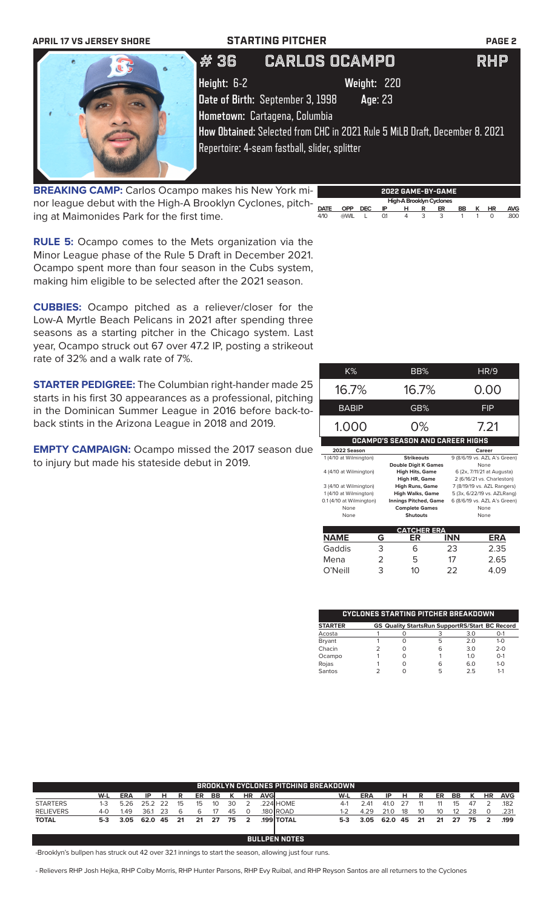

**BREAKING CAMP:** Carlos Ocampo makes his New York minor league debut with the High-A Brooklyn Cyclones, pitching at Maimonides Park for the first time.



**RULE 5:** Ocampo comes to the Mets organization via the Minor League phase of the Rule 5 Draft in December 2021. Ocampo spent more than four season in the Cubs system, making him eligible to be selected after the 2021 season.

**CUBBIES:** Ocampo pitched as a reliever/closer for the Low-A Myrtle Beach Pelicans in 2021 after spending three seasons as a starting pitcher in the Chicago system. Last year, Ocampo struck out 67 over 47.2 IP, posting a strikeout rate of 32% and a walk rate of 7%.

**STARTER PEDIGREE:** The Columbian right-hander made 25 starts in his first 30 appearances as a professional, pitching in the Dominican Summer League in 2016 before back-toback stints in the Arizona League in 2018 and 2019.

**EMPTY CAMPAIGN:** Ocampo missed the 2017 season due to injury but made his stateside debut in 2019.

| K%                       |   | BB%                                     |            | <b>HR/9</b>                  |
|--------------------------|---|-----------------------------------------|------------|------------------------------|
| 16.7%                    |   | 16.7%                                   |            | 0.00                         |
| <b>BABIP</b>             |   | GB%                                     |            | <b>FIP</b>                   |
| 1.000                    |   | 0%                                      |            | 7.21                         |
|                          |   | <b>OCAMPO'S SEASON AND CAREER HIGHS</b> |            |                              |
| 2022 Season              |   |                                         |            | Career                       |
| 1 (4/10 at Wilmington)   |   | <b>Strikeouts</b>                       |            | 9 (8/6/19 vs. AZL A's Green) |
|                          |   | <b>Double Digit K Games</b>             |            | None                         |
| 4 (4/10 at Wilmington)   |   | <b>High Hits, Game</b>                  |            | 6 (2x, 7/11/21 at Augusta)   |
|                          |   | High HR, Game                           |            | 2 (6/16/21 vs. Charleston)   |
| 3 (4/10 at Wilmington)   |   | <b>High Runs, Game</b>                  |            | 7 (8/19/19 vs. AZL Rangers)  |
| 1 (4/10 at Wilmington)   |   | <b>High Walks, Game</b>                 |            | 5 (3x, 6/22/19 vs. AZLRang)  |
| 0.1 (4/10 at Wilmington) |   | <b>Innings Pitched, Game</b>            |            | 6 (8/6/19 vs. AZL A's Green) |
| None                     |   | <b>Complete Games</b>                   |            | None                         |
| None                     |   | <b>Shutouts</b>                         |            | None                         |
|                          |   | <b>CATCHER ERA</b>                      |            |                              |
| <b>NAME</b>              | G | ER                                      | <b>INN</b> | ERA                          |
| Gaddis                   | 3 | 6                                       | 23         | 2.35                         |
| Mena                     | 2 | 5                                       | 17         | 2.65                         |

| <b>CYCLONES STARTING PITCHER BREAKDOWN</b> |  |  |                                                       |     |         |  |  |  |
|--------------------------------------------|--|--|-------------------------------------------------------|-----|---------|--|--|--|
| <b>STARTER</b>                             |  |  | <b>GS Quality StartsRun SupportRS/Start BC Record</b> |     |         |  |  |  |
| Acosta                                     |  |  |                                                       | 3.0 | $O-1$   |  |  |  |
| Bryant                                     |  |  | 5                                                     | 20  | $1 - 0$ |  |  |  |
| Chacin                                     |  |  | 6                                                     | 3.0 | $2 - 0$ |  |  |  |
| Ocampo                                     |  |  |                                                       | 1 O | $O-1$   |  |  |  |
| Rojas                                      |  |  | h                                                     | 6.0 | $1 - 0$ |  |  |  |
| Santos                                     |  |  | 5                                                     | 25  | $1 - 1$ |  |  |  |

O'Neill 3 10 22 4.09

| BROOKLYN CYCLONES PITCHING BREAKDOWN. |                      |            |      |      |      |    |    |    |                |             |                   |         |      |      |    |    |    |    |    |              |            |
|---------------------------------------|----------------------|------------|------|------|------|----|----|----|----------------|-------------|-------------------|---------|------|------|----|----|----|----|----|--------------|------------|
|                                       | W-L                  | <b>ERA</b> | IP   | н.   | R    | ER | ВB | к  | <b>HR</b>      | <b>AVGI</b> |                   | W-L     | ERA  | IP.  | н  | R  | ER | BB | К  | <b>HR</b>    | <b>AVG</b> |
| <b>STARTERS</b>                       | $1 - 3$              | 5.26       | 25.2 | - 22 | 15   | 15 | 10 | 30 |                |             | .224 HOME         | $4-1$   | 2 41 | 41.0 |    |    |    | 15 | 47 |              | .182       |
| <b>RELIEVERS</b>                      | $4 - 0$              | 1.49       | 36:  | 23   |      | 6  | 17 | 45 | $\Omega$       |             | 180 ROAD.         | $1 - 2$ | 4.29 | 21.0 | 18 | 10 | 10 | 12 | 28 |              | .231       |
| <b>TOTAL</b>                          | 5-3                  | 3.05       | 62.0 | -45  | - 21 | 21 | 27 | 75 | $\overline{2}$ |             | <b>.199 TOTAL</b> | 5-3     | 3.05 | 62.0 | 45 | 21 | 21 | 27 | 75 | $\mathbf{2}$ | .199       |
|                                       |                      |            |      |      |      |    |    |    |                |             |                   |         |      |      |    |    |    |    |    |              |            |
|                                       | <b>BULLPEN NOTES</b> |            |      |      |      |    |    |    |                |             |                   |         |      |      |    |    |    |    |    |              |            |

-Brooklyn's bullpen has struck out 42 over 32.1 innings to start the season, allowing just four runs.

- Relievers RHP Josh Hejka, RHP Colby Morris, RHP Hunter Parsons, RHP Evy Ruibal, and RHP Reyson Santos are all returners to the Cyclones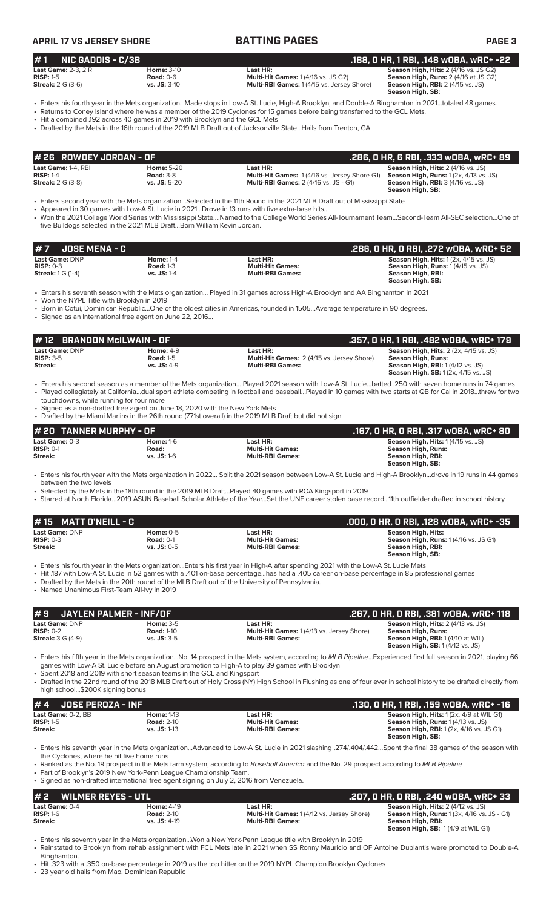**APRIL 17 VS JERSEY SHORE BATTING PAGES PAGE 3**

## **# 1 NIC GADDIS - C/3B .188, 0 HR, 1 RBI, .148 wOBA, wRC+ -22 Last Game:** 2-3, 2 R<br> **Road:** 0-6 **Home:** 3-10 **Last HR:** Cames: 1 (4/16 vs. JS G2) **Season High, Hits:** 2 (4/16 vs. JS G2) **Season High, Runs:** 2 (4/16 at JS G2) **RISP:** 1-5 **Road:** 0-6 **Multi-Hit Games:** 1 (4/16 vs. JS G2) **Season High, Runs:** 2 (4/16 at JS G2) **Multi-RBI Games:** 1 (4/15 vs. Jersey Shore)

**Season High, SB:** 

• Enters his fourth year in the Mets organization...Made stops in Low-A St. Lucie, High-A Brooklyn, and Double-A Binghamton in 2021…totaled 48 games. • Returns to Coney Island where he was a member of the 2019 Cyclones for 15 games before being transferred to the GCL Mets.

• Hit a combined .192 across 40 games in 2019 with Brooklyn and the GCL Mets

• Drafted by the Mets in the 16th round of the 2019 MLB Draft out of Jacksonville State...Hails from Trenton, GA.

| # 26 ROWDEY JORDAN - OF                                        |                                                         |                                                                                                                                                              | .286. O HR. 6 RBI. .333 wOBA. wRC+ 89                                                                     |
|----------------------------------------------------------------|---------------------------------------------------------|--------------------------------------------------------------------------------------------------------------------------------------------------------------|-----------------------------------------------------------------------------------------------------------|
| Last Game: 1-4. RBI<br>$RISP: 1-4$<br><b>Streak: 2 G (3-8)</b> | <b>Home: 5-20</b><br><b>Road: 3-8</b><br>$vs.$ JS: 5-20 | Last HR:<br><b>Multi-Hit Games:</b> 1(4/16 vs. Jersey Shore G1) <b>Season High, Runs:</b> 1(2x, 4/13 vs. JS)<br><b>Multi-RBI Games: 2 (4/16 vs. JS - G1)</b> | <b>Season High, Hits: 2 (4/16 vs. JS)</b><br><b>Season High, RBI: 3 (4/16 vs. JS)</b><br>Season High, SB: |

• Enters second year with the Mets organization…Selected in the 11th Round in the 2021 MLB Draft out of Mississippi State

Appeared in 30 games with Low-A St. Lucie in 2021...Drove in 13 runs with five extra-base hits.

• Won the 2021 College World Series with Mississippi State….Named to the College World Series All-Tournament Team…Second-Team All-SEC selection…One of five Bulldogs selected in the 2021 MLB Draft...Born William Kevin Jordan.

| 1# 7     JOSE MENA - C                                           |                                                       |                                                                | .286, 0 HR, 0 RBI, .272 w0BA, wRC+ 52                                                                           |
|------------------------------------------------------------------|-------------------------------------------------------|----------------------------------------------------------------|-----------------------------------------------------------------------------------------------------------------|
| <b>Last Game: DNP</b><br>$RISP: 0-3$<br><b>Streak:</b> 1 G (1-4) | <b>Home: 1-4</b><br><b>Road: 1-3</b><br>$vs.$ JS: 1-4 | Last HR:<br><b>Multi-Hit Games:</b><br><b>Multi-RBI Games:</b> | <b>Season High, Hits: 1 (2x, 4/15 vs. JS)</b><br><b>Season High, Runs: 1 (4/15 vs. JS)</b><br>Season High, RBI: |
|                                                                  |                                                       |                                                                | Season High, SB:                                                                                                |

• Enters his seventh season with the Mets organization… Played in 31 games across High-A Brooklyn and AA Binghamton in 2021

• Won the NYPL Title with Brooklyn in 2019

• Born in Cotui, Dominican Republic…One of the oldest cities in Americas, founded in 1505…Average temperature in 90 degrees.

• Signed as an International free agent on June 22, 2016…

| #12 BRANDON McILWAIN - OF                       |                                                       |                                                                                          | .357. O HR. 1 RBI. .482 WOBA. wRC+ 179                                                                                                                                |
|-------------------------------------------------|-------------------------------------------------------|------------------------------------------------------------------------------------------|-----------------------------------------------------------------------------------------------------------------------------------------------------------------------|
| <b>Last Game: DNP</b><br>$RISP: 3-5$<br>Streak: | <b>Home: 4-9</b><br><b>Road: 1-5</b><br>$vs.$ JS: 4-9 | Last HR:<br><b>Multi-Hit Games: 2 (4/15 vs. Jersey Shore)</b><br><b>Multi-RBI Games:</b> | <b>Season High, Hits:</b> $2$ ( $2x$ , $4/15$ vs. JS)<br>Season High, Runs:<br><b>Season High, RBI:</b> 1 (4/12 vs. JS)<br><b>Season High, SB:</b> 1(2x, 4/15 vs. JS) |

- Enters his second season as a member of the Mets organization… Played 2021 season with Low-A St. Lucie…batted .250 with seven home runs in 74 games • Played collegiately at California…dual sport athlete competing in football and baseball…Played in 10 games with two starts at QB for Cal in 2018…threw for two touchdowns, while running for four more
- Signed as a non-drafted free agent on June 18, 2020 with the New York Mets
- Drafted by the Miami Marlins in the 26th round (771st overall) in the 2019 MLB Draft but did not sign

| # 20 TANNER MURPHY - OF |                  |                         | .167, 0 HR, 0 RBI, .317 w0BA, wRC+ 80     |
|-------------------------|------------------|-------------------------|-------------------------------------------|
| Last Game: 0-3          | <b>Home: 1-6</b> | Last HR:                | <b>Season High, Hits: 1 (4/15 vs. JS)</b> |
| $RISP: 0-1$             | Road:            | <b>Multi-Hit Games:</b> | Season High, Runs:                        |
| Streak:                 | vs. $JS: 1-6$    | <b>Multi-RBI Games:</b> | Season High, RBI:                         |
|                         |                  |                         | Season High, SB:                          |

• Enters his fourth year with the Mets organization in 2022… Split the 2021 season between Low-A St. Lucie and High-A Brooklyn…drove in 19 runs in 44 games between the two levels

• Selected by the Mets in the 18th round in the 2019 MLB Draft…Played 40 games with ROA Kingsport in 2019

• Starred at North Florida…2019 ASUN Baseball Scholar Athlete of the Year…Set the UNF career stolen base record…11th outfielder drafted in school history.

| $\#$ 15 MATT O'NEILL - C |                 |                         | .000, 0 HR, 0 RBI, .128 w0BA, wRC+ -35       |
|--------------------------|-----------------|-------------------------|----------------------------------------------|
| Last Game: DNP           | Home: $0-5$     | Last HR:                | Season High, Hits:                           |
| $RISP: 0-3$              | Road: $0-1$     | <b>Multi-Hit Games:</b> | <b>Season High, Runs: 1 (4/16 vs. JS G1)</b> |
| Streak:                  | $vs.$ JS: $0-5$ | <b>Multi-RBI Games:</b> | Season High, RBI:                            |
|                          |                 |                         | Season High, SB:                             |

• Enters his fourth year in the Mets organization...Enters his first year in High-A after spending 2021 with the Low-A St. Lucie Mets

• Hit .187 with Low-A St. Lucie in 52 games with a .401 on-base percentage...has had a .405 career on-base percentage in 85 professional games

• Drafted by the Mets in the 20th round of the MLB Draft out of the University of Pennsylvania.

• Named Unanimous First-Team All-Ivy in 2019

| #9 JAYLEN PALMER - INF/OF |                   |                                                   | .267, 0 HR, 0 RBI, .381 w0BA, wRC+ 118    |
|---------------------------|-------------------|---------------------------------------------------|-------------------------------------------|
| Last Game: DNP            | <b>Home: 3-5</b>  | Last HR:                                          | <b>Season High, Hits: 2 (4/13 vs. JS)</b> |
| $RISP: 0-2$               | <b>Road: 1-10</b> | <b>Multi-Hit Games: 1 (4/13 vs. Jersey Shore)</b> | Season High, Runs:                        |
| <b>Streak: 3 G (4-9)</b>  | $vs.$ JS: $3-5$   | <b>Multi-RBI Games:</b>                           | <b>Season High, RBI:</b> 1 (4/10 at WIL)  |
|                           |                   |                                                   | <b>Season High, SB:</b> 1(4/12 vs. JS)    |

• Enters his fifth year in the Mets organization...No. 14 prospect in the Mets system, according to *MLB Pipeline*...Experienced first full season in 2021, playing 66 games with Low-A St. Lucie before an August promotion to High-A to play 39 games with Brooklyn

• Spent 2018 and 2019 with short season teams in the GCL and Kingsport

• Drafted in the 22nd round of the 2018 MLB Draft out of Holy Cross (NY) High School in Flushing as one of four ever in school history to be drafted directly from high school...\$200K signing bonus

| $# 4$ JOSE PEROZA - INF   |                   |                         | .130, 0 HR, 1 RBI, .159 w0BA, wRC+ -16          |
|---------------------------|-------------------|-------------------------|-------------------------------------------------|
| <b>Last Game:</b> 0-2. BB | <b>Home: 1-13</b> | Last HR:                | <b>Season High, Hits: 1 (2x, 4/9 at WIL G1)</b> |
| $RISP: 1-5$               | <b>Road: 2-10</b> | <b>Multi-Hit Games:</b> | <b>Season High, Runs: 1 (4/13 vs. JS)</b>       |
| Streak:                   | $vs.$ JS: 1-13    | <b>Multi-RBI Games:</b> | <b>Season High, RBI:</b> 1 (2x, 4/16 vs. JS G1) |
|                           |                   |                         | Season High, SB:                                |

• Enters his seventh year in the Mets organization...Advanced to Low-A St. Lucie in 2021 slashing .274/.404/.442…Spent the final 38 games of the season with the Cyclones, where he hit five home runs

• Ranked as the No. 19 prospect in the Mets farm system, according to *Baseball America* and the No. 29 prospect according to *MLB Pipeline*

• Part of Brooklyn's 2019 New York-Penn League Championship Team.

Signed as non-drafted international free agent signing on July 2, 2016 from Venezuela.

| #2 WILMER REYES - UTL |                   |                                                   | .207, 0 HR, 0 RBI, .240 w0BA, wRC+ 33              |  |  |  |  |
|-----------------------|-------------------|---------------------------------------------------|----------------------------------------------------|--|--|--|--|
| Last Game: 0-4        | <b>Home: 4-19</b> | Last HR:                                          | <b>Season High, Hits: 2 (4/12 vs. JS)</b>          |  |  |  |  |
| $RISP: 1-6$           | <b>Road: 2-10</b> | <b>Multi-Hit Games: 1 (4/12 vs. Jersey Shore)</b> | <b>Season High, Runs:</b> 1 (3x, 4/16 vs. JS - G1) |  |  |  |  |
| Streak:               | $vs.$ JS: 4-19    | <b>Multi-RBI Games:</b>                           | Season High, RBI:                                  |  |  |  |  |
|                       |                   |                                                   | <b>Season High, SB: 1(4/9 at WIL G1)</b>           |  |  |  |  |

• Enters his seventh year in the Mets organization...Won a New York-Penn League title with Brooklyn in 2019

• Reinstated to Brooklyn from rehab assignment with FCL Mets late in 2021 when SS Ronny Mauricio and OF Antoine Duplantis were promoted to Double-A Binghamton.

• Hit .323 with a .350 on-base percentage in 2019 as the top hitter on the 2019 NYPL Champion Brooklyn Cyclones

23 year old hails from Mao, Dominican Republic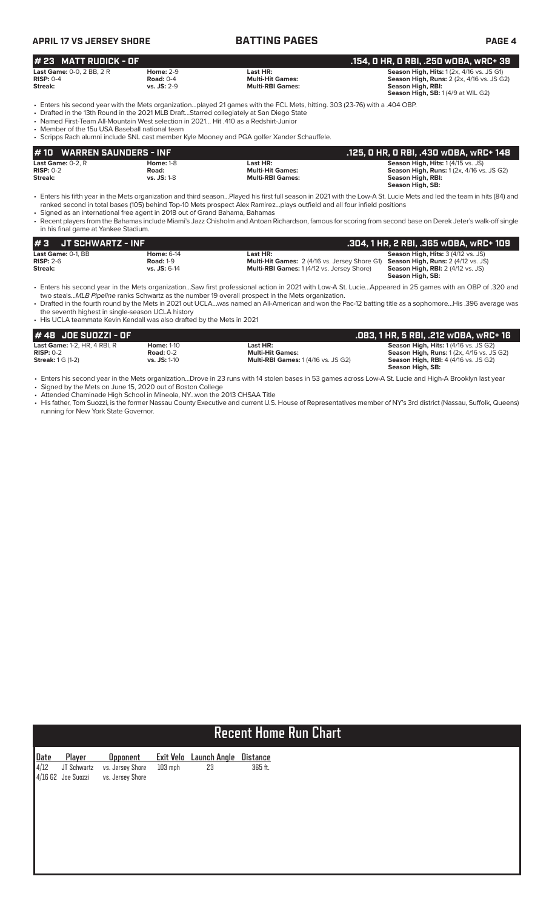| <b>APRIL 17 VS JERSEY SHORE</b>                                                                                                        |                                                         | <b>BATTING PAGES</b>                                                                                                                                                                                                                                                                                                   | <b>PAGE 4</b>                                                                                                                                                         |
|----------------------------------------------------------------------------------------------------------------------------------------|---------------------------------------------------------|------------------------------------------------------------------------------------------------------------------------------------------------------------------------------------------------------------------------------------------------------------------------------------------------------------------------|-----------------------------------------------------------------------------------------------------------------------------------------------------------------------|
| # 23 MATT RUDICK - OF                                                                                                                  |                                                         |                                                                                                                                                                                                                                                                                                                        | .154, O HR, O RBI, .250 wOBA, wRC+ 39                                                                                                                                 |
| <b>Last Game: 0-0, 2 BB, 2 R</b><br>$RISP: 0-4$<br>Streak:                                                                             | <b>Home: 2-9</b><br><b>Road: 0-4</b><br>$vs.$ JS: $2-9$ | Last HR:<br><b>Multi-Hit Games:</b><br><b>Multi-RBI Games:</b>                                                                                                                                                                                                                                                         | <b>Season High, Hits: 1 (2x, 4/16 vs. JS G1)</b><br><b>Season High, Runs:</b> 2 (2x, 4/16 vs. JS G2)<br>Season High, RBI:<br>Season High, SB: 1(4/9 at WIL G2)        |
| • Named First-Team All-Mountain West selection in 2021 Hit .410 as a Redshirt-Junior<br>• Member of the 15u USA Baseball national team |                                                         | • Enters his second year with the Mets organizationplayed 21 games with the FCL Mets, hitting, 303 (23-76) with a .404 OBP.<br>• Drafted in the 13th Round in the 2021 MLB DraftStarred collegiately at San Diego State<br>• Scripps Rach alumni include SNL cast member Kyle Mooney and PGA golfer Xander Schauffele. |                                                                                                                                                                       |
| <b>WARREN SAUNDERS - INF</b><br><b>#10</b>                                                                                             |                                                         |                                                                                                                                                                                                                                                                                                                        | .125, 0 HR, 0 RBI, .430 w0BA, wRC+ 148                                                                                                                                |
| Last Game: $0-2$ , $R$<br>$RISP: 0-2$<br>Streak:                                                                                       | <b>Home: 1-8</b><br>Road:<br><b>vs. JS: 1-8</b>         | Last HR:<br><b>Multi-Hit Games:</b><br><b>Multi-RBI Games:</b>                                                                                                                                                                                                                                                         | <b>Season High, Hits: 1 (4/15 vs. JS)</b><br><b>Season High, Runs: 1 (2x, 4/16 vs. JS G2)</b><br>Season High, RBI:<br>Season High, SB:                                |
| • Signed as an international free agent in 2018 out of Grand Bahama, Bahamas                                                           |                                                         | ranked second in total bases (105) behind Top-10 Mets prospect Alex Ramirezplays outfield and all four infield positions                                                                                                                                                                                               | • Enters his fifth year in the Mets organization and third seasonPlayed his first full season in 2021 with the Low-A St. Lucie Mets and led the team in hits (84) and |

• Recent players from the Bahamas include Miami's Jazz Chisholm and Antoan Richardson, famous for scoring from second base on Derek Jeter's walk-off single in his final game at Yankee Stadium.

| $\sharp$ 3 JT SCHWARTZ - INF      |                                       |                                                                  |                                                                                        |
|-----------------------------------|---------------------------------------|------------------------------------------------------------------|----------------------------------------------------------------------------------------|
| Last Game: 0-1. BB<br>$RISP: 2-6$ | <b>Home: 6-14</b><br><b>Road: 1-9</b> | Last HR:<br><b>Multi-Hit Games: 2 (4/16 vs. Jersey Shore G1)</b> | <b>Season High, Hits: 3 (4/12 vs. JS)</b><br><b>Season High, Runs:</b> 2 (4/12 vs. JS) |
| Streak:                           | $vs.$ JS: $6-14$                      | <b>Multi-RBI Games:</b> 1(4/12 vs. Jersey Shore)                 | <b>Season High, RBI:</b> 2 (4/12 vs. JS)<br>Season High, SB:                           |

• Enters his second year in the Mets organization…Saw first professional action in 2021 with Low-A St. Lucie…Appeared in 25 games with an OBP of .320 and two steals...*MLB Pipeline* ranks Schwartz as the number 19 overall prospect in the Mets organization.

• Drafted in the fourth round by the Mets in 2021 out UCLA…was named an All-American and won the Pac-12 batting title as a sophomore…His .396 average was the seventh highest in single-season UCLA history

• His UCLA teammate Kevin Kendall was also drafted by the Mets in 2021

| 1# 48  JOE SUOZZI - OF              |                     |                                            | .083, 1 HR, 5 RBI, .212 w0BA, wRC+ 16            |
|-------------------------------------|---------------------|--------------------------------------------|--------------------------------------------------|
| <b>Last Game: 1-2, HR, 4 RBI, R</b> | <b>Home: 1-10</b>   | Last HR:                                   | <b>Season High, Hits: 1 (4/16 vs. JS G2)</b>     |
| $RISP: 0-2$                         | Road: $0-2$         | <b>Multi-Hit Games:</b>                    | <b>Season High, Runs: 1 (2x, 4/16 vs. JS G2)</b> |
| <b>Streak:</b> 1 G (1-2)            | <b>vs. JS: 1-10</b> | <b>Multi-RBI Games: 1 (4/16 vs. JS G2)</b> | <b>Season High, RBI: 4 (4/16 vs. JS G2)</b>      |
|                                     |                     |                                            | Season High, SB:                                 |

• Enters his second year in the Mets organization...Drove in 23 runs with 14 stolen bases in 53 games across Low-A St. Lucie and High-A Brooklyn last year

• Signed by the Mets on June 15, 2020 out of Boston College • Attended Chaminade High School in Mineola, NY...won the 2013 CHSAA Title

• His father, Tom Suozzi, is the former Nassau County Executive and current U.S. House of Representatives member of NY's 3rd district (Nassau, Suffolk, Queens) running for New York State Governor.

# **Recent Home Run Chart**

|  | Date Player Opponent Exit Velo Launch Angle Distance |      |         |
|--|------------------------------------------------------|------|---------|
|  | 4/12 JT Schwartz vs. Jersey Shore 103 mph            | - 23 | 365 ft. |
|  | 4/16 G2 Joe Suozzi vs. Jersey Shore                  |      |         |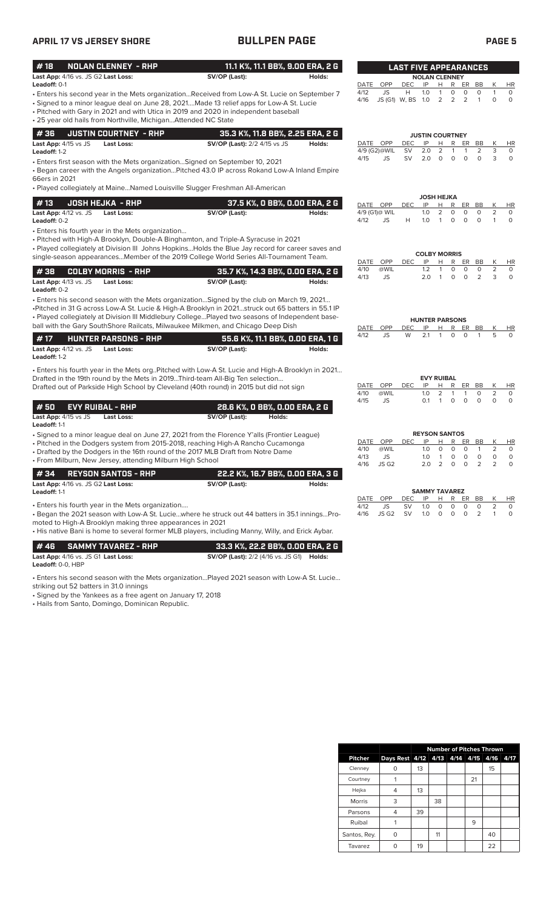# **APRIL 17 VS JERSEY SHORE BULLPEN PAGE PAGE 5**

| <b>NOLAN CLENNEY - RHP</b><br>#18                                                                                                                                                                                                                                                                                                                                                    | 11.1 K%, 11.1 BB%, 9.00 ERA, 2 G                        |        |                                         |                               |                  | <b>LAST FIVE APPEARANCES</b>                       |                                                            |                                  |                                 |
|--------------------------------------------------------------------------------------------------------------------------------------------------------------------------------------------------------------------------------------------------------------------------------------------------------------------------------------------------------------------------------------|---------------------------------------------------------|--------|-----------------------------------------|-------------------------------|------------------|----------------------------------------------------|------------------------------------------------------------|----------------------------------|---------------------------------|
| Last App: 4/16 vs. JS G2 Last Loss:                                                                                                                                                                                                                                                                                                                                                  | SV/OP (Last):                                           | Holds: |                                         |                               |                  | <b>NOLAN CLENNEY</b>                               |                                                            |                                  |                                 |
| <b>Leadoff: 0-1</b><br>Enters his second year in the Mets organizationReceived from Low-A St. Lucie on September 7<br>Signed to a minor league deal on June 28, 2021Made 13 relief apps for Low-A St. Lucie<br>• Pitched with Gary in 2021 and with Utica in 2019 and 2020 in independent baseball<br>• 25 year old hails from Northville, MichiganAttended NC State                 |                                                         |        | OPP<br>DATE<br>JS<br>4/12<br>4/16       | DEC<br>Н<br>JS (G1) W, BS 1.0 | IP<br>1.0        | н<br>R<br>$\mathbf{1}$<br>0<br>$\overline{2}$<br>2 | ER<br>BB<br>0<br>$\circ$<br>$\overline{2}$<br>$\mathbf{1}$ | К<br>$\mathbf{1}$<br>$\mathsf O$ | <b>HR</b><br>$\circ$<br>$\circ$ |
| #36<br><b>JUSTIN COURTNEY - RHP</b>                                                                                                                                                                                                                                                                                                                                                  | 35.3 K%, 11.8 BB%, 2.25 ERA, 2 G                        |        |                                         |                               |                  | <b>JUSTIN COURTNEY</b>                             |                                                            |                                  |                                 |
| Last App: 4/15 vs JS<br><b>Last Loss:</b><br>Leadoff: 1-2                                                                                                                                                                                                                                                                                                                            | <b>SV/OP (Last): 2/2 4/15 vs JS</b>                     | Holds: | DATE<br>OPP<br>4/9 (G2)@WIL             | <b>DEC</b><br><b>SV</b>       | IP<br>2.0        | Н<br>R<br>2<br>1                                   | ER<br>BB<br>2<br>1                                         | К<br>3                           | HR<br>0                         |
| · Enters first season with the Mets organizationSigned on September 10, 2021<br>· Began career with the Angels organizationPitched 43.0 IP across Rokand Low-A Inland Empire<br>66ers in 2021                                                                                                                                                                                        |                                                         |        | 4/15<br>JS                              | SV                            | 2.0              | $\circ$<br>$\circ$                                 | $\mathbf 0$<br>$\circ$                                     | 3                                | $\circ$                         |
| • Played collegiately at MaineNamed Louisville Slugger Freshman All-American                                                                                                                                                                                                                                                                                                         |                                                         |        |                                         |                               |                  | <b>JOSH HEJKA</b>                                  |                                                            |                                  |                                 |
| <b>JOSH HEJKA - RHP</b><br>#13<br>Last App: 4/12 vs. JS<br><b>Last Loss:</b><br>Leadoff: 0-2                                                                                                                                                                                                                                                                                         | 37.5 K%, O BB%, O.OO ERA, 2 G<br>SV/OP (Last):          | Holds: | DATE OPP<br>4/9 (G1)@ WIL<br>4/12<br>JS | <b>DEC</b><br>Н               | IP<br>1.0<br>1.0 | н<br>R<br>2<br>0<br>0<br>$\mathbf{1}$              | ER<br>BB<br>0<br>0<br>$\circ$<br>0                         | К<br>2<br>$\mathbf{1}$           | HR<br>0<br>$\circ$              |
| • Enters his fourth year in the Mets organization<br>• Pitched with High-A Brooklyn, Double-A Binghamton, and Triple-A Syracuse in 2021<br>• Played collegiately at Division III Johns HopkinsHolds the Blue Jay record for career saves and                                                                                                                                         |                                                         |        |                                         |                               |                  | <b>COLBY MORRIS</b>                                |                                                            |                                  |                                 |
| single-season appearancesMember of the 2019 College World Series All-Tournament Team.                                                                                                                                                                                                                                                                                                |                                                         |        | OPP<br>DATE<br>4/10<br>@WIL             | <b>DEC</b>                    | IP<br>1.2        | Н<br>R<br>$\mathbf{1}$<br>0                        | ER<br>BB<br>0<br>$\mathsf{O}$                              | К<br>$\overline{2}$              | HR<br>$\circ$                   |
| <b>COLBY MORRIS - RHP</b><br>#38<br>Last App: 4/13 vs. JS<br><b>Last Loss:</b><br>Leadoff: 0-2                                                                                                                                                                                                                                                                                       | 35.7 K%, 14.3 BB%, 0.00 ERA, 2 G<br>SV/OP (Last):       | Holds: | 4/13<br><b>JS</b>                       |                               | 2.0              | $\mathbf{1}$<br>$\circ$                            | $\circ$<br>2                                               | 3                                | $\circ$                         |
| . Enters his second season with the Mets organizationSigned by the club on March 19, 2021<br>Pitched in 31 G across Low-A St. Lucie & High-A Brooklyn in 2021struck out 65 batters in 55.1 IP<br>• Played collegiately at Division III Middlebury CollegePlayed two seasons of Independent base-<br>ball with the Gary SouthShore Railcats, Milwaukee Milkmen, and Chicago Deep Dish |                                                         |        | OPP<br>DATE                             | DEC                           | IP               | <b>HUNTER PARSONS</b><br>R<br>н                    | ER<br>BB                                                   | Κ                                | $\overline{HR}$                 |
| <b>HUNTER PARSONS - RHP</b><br>#17                                                                                                                                                                                                                                                                                                                                                   | 55.6 K%, 11.1 BB%, 0.00 ERA, 1 G                        |        | 4/12<br>JS                              | W                             | 2.1              | 0<br>-1                                            | O<br>1                                                     | 5                                | 0                               |
| Last App: 4/12 vs. JS<br><b>Last Loss:</b><br>Leadoff: 1-2                                                                                                                                                                                                                                                                                                                           | SV/OP (Last):                                           | Holds: |                                         |                               |                  |                                                    |                                                            |                                  |                                 |
| . Enters his fourth year in the Mets orgPitched with Low-A St. Lucie and High-A Brooklyn in 2021                                                                                                                                                                                                                                                                                     |                                                         |        |                                         |                               |                  |                                                    |                                                            |                                  |                                 |
| Drafted in the 19th round by the Mets in 2019Third-team All-Big Ten selection<br>Drafted out of Parkside High School by Cleveland (40th round) in 2015 but did not sign                                                                                                                                                                                                              |                                                         |        | DATE<br>OPP<br>4/10<br>@WIL             | DEC                           | IP<br>1.0        | <b>EVY RUIBAL</b><br>н<br>R<br>2<br>1              | ER<br>BB<br>$\mathbf{1}$<br>$\circ$                        | Κ<br>$\overline{2}$              | HR<br>$\circ$                   |
| #50<br><b>EVY RUIBAL - RHP</b>                                                                                                                                                                                                                                                                                                                                                       | 28.6 K%, O BB%, O.OO ERA, 2 G                           |        | JS<br>4/15                              |                               | 0.1              | $\mathbf{1}$<br>0                                  | 0<br>$\circ$                                               | $\circ$                          | $\circ$                         |
| Last App: 4/15 vs JS<br>Last Loss:<br>Leadoff: 1-1                                                                                                                                                                                                                                                                                                                                   | SV/OP (Last):<br>Holds:                                 |        |                                         |                               |                  |                                                    |                                                            |                                  |                                 |
| • Signed to a minor league deal on June 27, 2021 from the Florence Y'alls (Frontier League)                                                                                                                                                                                                                                                                                          |                                                         |        | DATE<br>OPP                             | DEC                           | IP               | <b>REYSON SANTOS</b><br>R<br>Н                     | ER<br>BB                                                   | К                                | HR                              |
| • Pitched in the Dodgers system from 2015-2018, reaching High-A Rancho Cucamonga<br>• Drafted by the Dodgers in the 16th round of the 2017 MLB Draft from Notre Dame                                                                                                                                                                                                                 |                                                         |        | @WIL<br>4/10                            |                               | 1.0              | 0<br>0                                             | $\circ$<br>1                                               | $\overline{2}$                   | 0                               |
| • From Milburn, New Jersey, attending Milburn High School                                                                                                                                                                                                                                                                                                                            |                                                         |        | 4/13<br>JS<br>JS G <sub>2</sub><br>4/16 |                               | $1.0 \t1$<br>2.0 | 0<br>$\overline{2}$<br>$\circ$                     | 0<br>0<br>$\circ$<br>2                                     | 0<br>$\overline{2}$              | 0<br>0                          |
| <b>REYSON SANTOS - RHP</b><br>#34                                                                                                                                                                                                                                                                                                                                                    | 22.2 K%, 16.7 BB%, 0.00 ERA, 3 G                        |        |                                         |                               |                  |                                                    |                                                            |                                  |                                 |
| Last App: 4/16 vs. JS G2 Last Loss:<br>Leadoff: 1-1                                                                                                                                                                                                                                                                                                                                  | SV/OP (Last):                                           | Holds: |                                         |                               |                  | <b>SAMMY TAVAREZ</b>                               |                                                            |                                  |                                 |
| • Enters his fourth year in the Mets organization                                                                                                                                                                                                                                                                                                                                    |                                                         |        | DATE<br>OPP<br>4/12<br>JS               | DEC<br>SV                     | IP<br>1.0        | H.<br>R<br>0<br>0                                  | ER BB<br>0<br>0                                            | Κ<br>$\overline{2}$              | HR<br>0                         |
| . Began the 2021 season with Low-A St. Luciewhere he struck out 44 batters in 35.1 inningsPro-<br>moted to High-A Brooklyn making three appearances in 2021<br>His native Bani is home to several former MLB players, including Manny, Willy, and Erick Aybar.                                                                                                                       |                                                         |        | 4/16<br>JS G <sub>2</sub>               | SV                            | 1.0              | 0<br>0                                             | 2<br>0                                                     | $\mathbf{1}$                     | 0                               |
| <b>SAMMY TAVAREZ - RHP</b><br>#46                                                                                                                                                                                                                                                                                                                                                    | 33.3 K%, 22.2 BB%, 0.00 ERA, 2 G                        |        |                                         |                               |                  |                                                    |                                                            |                                  |                                 |
| Last App: 4/16 vs. JS G1 Last Loss:<br>Leadoff: 0-0, HBP                                                                                                                                                                                                                                                                                                                             | <b>SV/OP (Last):</b> 2/2 (4/16 vs. JS G1) <b>Holds:</b> |        |                                         |                               |                  |                                                    |                                                            |                                  |                                 |
| · Enters his second season with the Mets organizationPlayed 2021 season with Low-A St. Lucie<br>striking out 52 batters in 31.0 innings<br>· Signed by the Yankees as a free agent on January 17, 2018                                                                                                                                                                               |                                                         |        |                                         |                               |                  |                                                    |                                                            |                                  |                                 |

• Hails from Santo, Domingo, Dominican Republic.

|                | <b>Number of Pitches Thrown</b>    |    |    |  |    |    |      |
|----------------|------------------------------------|----|----|--|----|----|------|
| <b>Pitcher</b> | Days Rest 4/12 4/13 4/14 4/15 4/16 |    |    |  |    |    | 4/17 |
| Clenney        |                                    | 13 |    |  |    | 15 |      |
| Courtney       |                                    |    |    |  | 21 |    |      |
| Hejka          |                                    | 13 |    |  |    |    |      |
| <b>Morris</b>  | 3                                  |    | 38 |  |    |    |      |
| Parsons        |                                    | 39 |    |  |    |    |      |
| Ruibal         |                                    |    |    |  | 9  |    |      |
| Santos, Rey.   | O                                  |    | 11 |  |    | 40 |      |
| Tavarez        |                                    | 19 |    |  |    | 22 |      |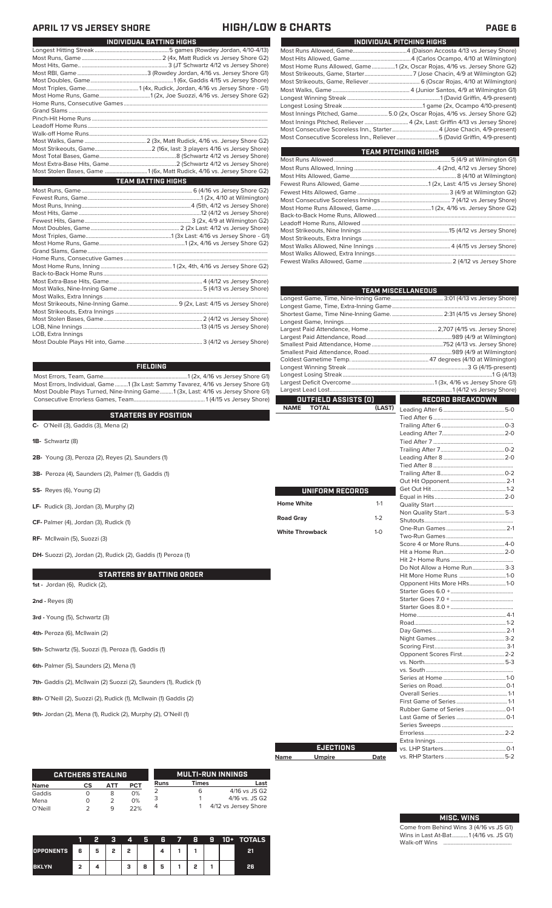# **APRIL 17 VS JERSEY SHORE HIGH/LOW & CHARTS PAGE 6**

|                    | INDIVIDUAL BATTING HIGHS                                              |
|--------------------|-----------------------------------------------------------------------|
|                    |                                                                       |
|                    |                                                                       |
|                    |                                                                       |
|                    |                                                                       |
|                    |                                                                       |
|                    |                                                                       |
|                    |                                                                       |
|                    |                                                                       |
|                    |                                                                       |
|                    |                                                                       |
|                    |                                                                       |
|                    |                                                                       |
|                    |                                                                       |
|                    |                                                                       |
|                    |                                                                       |
|                    |                                                                       |
|                    | Most Stolen Bases, Game 1 (6x, Matt Rudick, 4/16 vs. Jersey Shore G2) |
|                    | <b>TEAM BATTING HIGHS</b>                                             |
|                    |                                                                       |
|                    |                                                                       |
|                    |                                                                       |
|                    |                                                                       |
|                    |                                                                       |
|                    |                                                                       |
|                    |                                                                       |
|                    |                                                                       |
|                    |                                                                       |
|                    |                                                                       |
|                    |                                                                       |
|                    |                                                                       |
|                    |                                                                       |
|                    |                                                                       |
|                    |                                                                       |
|                    |                                                                       |
|                    |                                                                       |
|                    |                                                                       |
|                    |                                                                       |
|                    |                                                                       |
| LOB, Extra Innings |                                                                       |

### **FIELDING**

Most Errors, Team, Game..........................................................1 (2x, 4/16 vs Jersey Shore G1) Most Errors, Individual, Game.........1 (3x Last: Sammy Tavarez, 4/16 vs Jersey Shore G1) Most Double Plays Turned, Nine-Inning Game.........1 (3x, Last: 4/16 vs Jersey Shore G1) Consecutive Errorless Games, Team.................................................1 (4/15 vs Jersey Shore)

**STARTERS BY POSITION**

**STARTERS BY BATTING ORDER C-** O'Neill (3), Gaddis (3), Mena (2) **1B-** Schwartz (8) **2B-** Young (3), Peroza (2), Reyes (2), Saunders (1) **3B-** Peroza (4), Saunders (2), Palmer (1), Gaddis (1) **SS-** Reyes (6), Young (2) **LF-** Rudick (3), Jordan (3), Murphy (2) **CF-** Palmer (4), Jordan (3), Rudick (1) **RF-** McIlwain (5), Suozzi (3) **DH-** Suozzi (2), Jordan (2), Rudick (2), Gaddis (1) Peroza (1)

**1st -** Jordan (6), Rudick (2),

**2nd -** Reyes (8)

**3rd -** Young (5), Schwartz (3)

**4th-** Peroza (6), McIlwain (2)

**5th-** Schwartz (5), Suozzi (1), Peroza (1), Gaddis (1)

**6th-** Palmer (5), Saunders (2), Mena (1)

7th- Gaddis (2), McIlwain (2) Suozzi (2), Saunders (1), Rudick (1)

**8th-** O'Neill (2), Suozzi (2), Rudick (1), McIlwain (1) Gaddis (2)

**9th-** Jordan (2), Mena (1), Rudick (2), Murphy (2), O'Neill (1)

|             | <b>CATCHERS STEALING</b> |     |            |      |       | <b>MULTI-RUN INNINGS</b> |
|-------------|--------------------------|-----|------------|------|-------|--------------------------|
| <b>Name</b> | СS                       | ΔТΤ | <b>PCT</b> | Runs | Times | Last                     |
| Gaddis      |                          |     | 0%         |      | 6     | 4/16 vs JS G2            |
| Mena        |                          |     | 0%         |      |       | 4/16 vs. JS G2           |
| O'Neill     |                          | q   | 22%        |      |       | 4/12 vs Jersey Shore     |

|                  |   |   |   | 4 | G | B | 8 | u | 10+ | <b>TOTALS</b> |
|------------------|---|---|---|---|---|---|---|---|-----|---------------|
| <b>OPPONENTS</b> | 6 | 5 | o | , |   |   |   |   |     |               |
| <b>BKLYN</b>     | ີ |   |   | з | 8 | 5 | , |   |     | 26            |

| INDIVIDUAL PITCHING HIGHS                                                  |
|----------------------------------------------------------------------------|
|                                                                            |
|                                                                            |
| Most Home Runs Allowed, Game1 (2x, Oscar Rojas, 4/16 vs. Jersey Shore G2)  |
|                                                                            |
|                                                                            |
|                                                                            |
|                                                                            |
|                                                                            |
| Most Innings Pitched, Game5.0 (2x, Oscar Rojas, 4/16 vs. Jersey Shore G2)  |
| Most Innings Pitched, Reliever  4 (2x, Last: Griffin 4/13 vs Jersey Shore) |
| Most Consecutive Scoreless Inn., Starter4 (Jose Chacin, 4/9-present)       |
| Most Consecutive Scoreless Inn., Reliever 5 (David Griffin, 4/9-present)   |
|                                                                            |

| TEAM PITCHING HIGHS |  |
|---------------------|--|
|                     |  |
|                     |  |
|                     |  |
|                     |  |
|                     |  |
|                     |  |
|                     |  |
|                     |  |
|                     |  |
|                     |  |
|                     |  |
|                     |  |
|                     |  |
|                     |  |

|                        |                      |         | <b>TEAM MISCELLANEOUS</b>   |  |
|------------------------|----------------------|---------|-----------------------------|--|
|                        |                      |         |                             |  |
|                        |                      |         |                             |  |
|                        |                      |         |                             |  |
|                        |                      |         |                             |  |
|                        |                      |         |                             |  |
|                        |                      |         |                             |  |
|                        |                      |         |                             |  |
|                        |                      |         |                             |  |
|                        |                      |         |                             |  |
|                        |                      |         |                             |  |
|                        |                      |         |                             |  |
|                        |                      |         |                             |  |
|                        | OUTFIELD ASSISTS (0) |         | RECORD BREAKDOWN            |  |
| <b>NAME</b>            | <b>TOTAL</b>         | (LAST)  |                             |  |
|                        |                      |         |                             |  |
|                        |                      |         |                             |  |
|                        |                      |         |                             |  |
|                        |                      |         |                             |  |
|                        |                      |         |                             |  |
|                        |                      |         |                             |  |
|                        |                      |         |                             |  |
|                        |                      |         |                             |  |
|                        |                      |         |                             |  |
|                        | UNIFORM RECORDS      |         |                             |  |
| Home White             |                      | $1 - 1$ |                             |  |
|                        |                      |         |                             |  |
| Road Gray              |                      | $1 - 2$ |                             |  |
|                        |                      |         |                             |  |
| <b>White Throwback</b> |                      | $1 - 0$ |                             |  |
|                        |                      |         |                             |  |
|                        |                      |         |                             |  |
|                        |                      |         |                             |  |
|                        |                      |         | Do Not Allow a Home Run 3-3 |  |
|                        |                      |         | Hit More Home Runs 1-0      |  |
|                        |                      |         | Opponent Hits More HRs1-0   |  |
|                        |                      |         |                             |  |
|                        |                      |         |                             |  |
|                        |                      |         |                             |  |
|                        |                      |         |                             |  |
|                        |                      |         |                             |  |
|                        |                      |         |                             |  |
|                        |                      |         |                             |  |
|                        |                      |         |                             |  |
|                        |                      |         |                             |  |
|                        |                      |         |                             |  |
|                        |                      |         |                             |  |
|                        |                      |         |                             |  |
|                        |                      |         |                             |  |
|                        |                      |         |                             |  |
|                        |                      |         |                             |  |
|                        |                      |         |                             |  |
|                        |                      |         |                             |  |
|                        |                      |         |                             |  |
|                        | <b>EJECTIONS</b>     |         |                             |  |
| <b>Name</b>            |                      |         |                             |  |
|                        | <b>Umpire</b>        | Date    |                             |  |

| Name | <b>Umpire</b> | Date |
|------|---------------|------|
|      |               |      |

Home **Road 0** 

### **MISC. WINS**

Come from Behind Wins 3 (4/16 vs JS G1) Wins in Last At-Bat...........1 (4/16 vs. JS G1) Walk-off Wins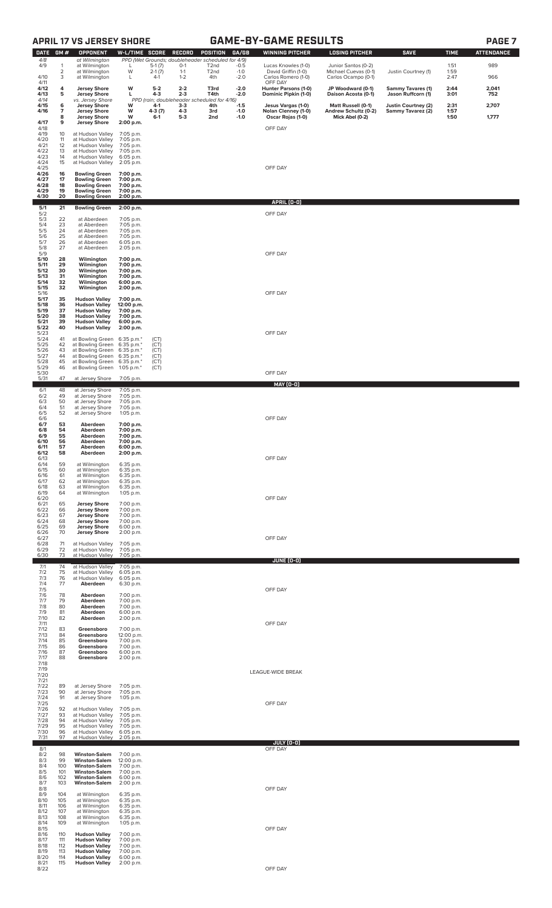# **APRIL 17 VS JERSEY SHORE GAME-BY-GAME RESULTS PAGE 7**

| W<br>í<br>м<br>▫<br>н<br>. . |  |
|------------------------------|--|
|------------------------------|--|

| <b>DATE</b>          | GM#               | <b>OPPONENT</b>                                                                           | W-L/TIME SCORE                       |                      | RECORD             | POSITION                                                               | GA/GB            | <b>WINNING PITCHER</b>                     | <b>LOSING PITCHER</b>                       | <b>SAVE</b>                              | <b>TIME</b>  | <b>ATTENDANCE</b> |
|----------------------|-------------------|-------------------------------------------------------------------------------------------|--------------------------------------|----------------------|--------------------|------------------------------------------------------------------------|------------------|--------------------------------------------|---------------------------------------------|------------------------------------------|--------------|-------------------|
| 4/8<br>4/9           | 1                 | at Wilmington<br>at Wilmington                                                            | L                                    | $5-1(7)$             | $O-1$              | PPD (Wet Grounds; doubleheader scheduled for 4/9)<br>T <sub>2</sub> nd | $-0.5$           | Lucas Knowles (1-0)                        | Junior Santos (0-2)                         |                                          | 1:51         | 989               |
| 4/10                 | 2<br>3            | at Wilmington<br>at Wilmington                                                            | W<br>L                               | $2-1(7)$<br>$4-1$    | $1 - 1$<br>$1 - 2$ | T <sub>2</sub> nd<br>4th                                               | $-1.0$<br>$-2.0$ | David Griffin (1-0)<br>Carlos Romero (1-0) | Michael Cuevas (0-1)<br>Carlos Ocampo (0-1) | Justin Courtney (1)                      | 1:59<br>2:47 | 966               |
| 4/11<br>4/12         | 4                 | <b>Jersey Shore</b>                                                                       | w                                    | $5-2$                | $2 - 2$            | T3rd                                                                   | $-2.0$           | OFF DAY<br>Hunter Parsons (1-0)            | JP Woodward (0-1)                           | <b>Sammy Tavares (1)</b>                 | 2:44         | 2,041             |
| 4/13<br>4/14         | 5                 | <b>Jersey Shore</b><br>vs. Jersey Shore                                                   | г                                    | $4-3$                | $2 - 3$            | T4th<br>PPD (rain; doubleheader scheduled for 4/16)                    | $-2.0$           | Dominic Pipkin (1-0)                       | Daison Acosta (0-1)                         | Jason Ruffcorn (1)                       | 3:01         | 752               |
| 4/15<br>4/16         | 6<br>7            | <b>Jersey Shore</b><br><b>Jersey Shore</b>                                                | w<br>w                               | 4-1<br>4-3 (7)       | $3-3$<br>$4 - 3$   | 4th<br>3rd                                                             | $-1.5$<br>$-1.0$ | Jesus Vargas (1-0)<br>Nolan Clenney (1-0)  | Matt Russell (0-1)<br>Andrew Schultz (0-2)  | Justin Courtney (2)<br>Sammy Tavarez (2) | 2:31<br>1:57 | 2,707             |
| 4/17                 | 8<br>9            | <b>Jersey Shore</b><br><b>Jersey Shore</b>                                                | W<br>2:00 p.m.                       | $6-1$                | $5-3$              | 2nd                                                                    | $-1.0$           | Oscar Rojas (1-0)                          | Mick Abel (0-2)                             |                                          | 1:50         | 1,777             |
| 4/18<br>4/19         | 10                | at Hudson Valley                                                                          | 7:05 p.m.                            |                      |                    |                                                                        |                  | OFF DAY                                    |                                             |                                          |              |                   |
| 4/20<br>4/21<br>4/22 | 11<br>12<br>13    | at Hudson Valley<br>at Hudson Valley<br>at Hudson Valley                                  | 7:05 p.m.<br>7:05 p.m.<br>7:05 p.m.  |                      |                    |                                                                        |                  |                                            |                                             |                                          |              |                   |
| 4/23<br>4/24         | 14<br>15          | at Hudson Valley<br>at Hudson Valley                                                      | 6:05 p.m.<br>2:05 p.m.               |                      |                    |                                                                        |                  |                                            |                                             |                                          |              |                   |
| 4/25<br>4/26         | 16                | <b>Bowling Green</b>                                                                      | 7:00 p.m.                            |                      |                    |                                                                        |                  | OFF DAY                                    |                                             |                                          |              |                   |
| 4/27<br>4/28         | 17<br>18          | <b>Bowling Green</b><br><b>Bowling Green</b>                                              | 7:00 p.m.<br>7:00 p.m.               |                      |                    |                                                                        |                  |                                            |                                             |                                          |              |                   |
| 4/29<br>4/30         | 19<br>20          | <b>Bowling Green</b><br><b>Bowling Green</b>                                              | 7:00 p.m.<br>2:00 p.m.               |                      |                    |                                                                        |                  | APRIL [0-0]                                |                                             |                                          |              |                   |
| 5/1<br>5/2           | 21                | <b>Bowling Green</b>                                                                      | 2:00 p.m.                            |                      |                    |                                                                        |                  | OFF DAY                                    |                                             |                                          |              |                   |
| 5/3<br>5/4           | 22<br>23          | at Aberdeen<br>at Aberdeen                                                                | 7:05 p.m.<br>7:05 p.m.               |                      |                    |                                                                        |                  |                                            |                                             |                                          |              |                   |
| 5/5<br>5/6           | 24<br>25          | at Aberdeen<br>at Aberdeen                                                                | 7:05 p.m.<br>7:05 p.m.               |                      |                    |                                                                        |                  |                                            |                                             |                                          |              |                   |
| 5/7<br>5/8<br>5/9    | 26<br>27          | at Aberdeen<br>at Aberdeen                                                                | 6:05 p.m.<br>2:05 p.m.               |                      |                    |                                                                        |                  | OFF DAY                                    |                                             |                                          |              |                   |
| 5/10<br>5/11         | 28<br>29          | Wilmington<br>Wilmington                                                                  | 7:00 p.m.<br>7:00 p.m.               |                      |                    |                                                                        |                  |                                            |                                             |                                          |              |                   |
| 5/12<br>5/13         | 30<br>31          | Wilmington<br>Wilmington                                                                  | 7:00 p.m.<br>7:00 p.m.               |                      |                    |                                                                        |                  |                                            |                                             |                                          |              |                   |
| 5/14<br>5/15         | 32<br>32          | Wilmington<br>Wilmington                                                                  | 6:00 p.m.<br>2:00 p.m.               |                      |                    |                                                                        |                  |                                            |                                             |                                          |              |                   |
| 5/16<br>5/17<br>5/18 | 35<br>36          | <b>Hudson Valley</b><br><b>Hudson Valley</b>                                              | 7:00 p.m.<br>12:00 p.m.              |                      |                    |                                                                        |                  | OFF DAY                                    |                                             |                                          |              |                   |
| 5/19<br>5/20         | 37<br>38          | <b>Hudson Valley</b><br><b>Hudson Valley</b>                                              | 7:00 p.m.<br>7:00 p.m.               |                      |                    |                                                                        |                  |                                            |                                             |                                          |              |                   |
| 5/21<br>5/22         | 39<br>40          | <b>Hudson Valley</b><br><b>Hudson Valley</b>                                              | 6:00 p.m.<br>2:00 p.m.               |                      |                    |                                                                        |                  |                                            |                                             |                                          |              |                   |
| 5/23<br>5/24         | 41                | at Bowling Green 6:35 p.m.*                                                               |                                      | (CT)                 |                    |                                                                        |                  | OFF DAY                                    |                                             |                                          |              |                   |
| 5/25<br>5/26         | 42<br>43          | at Bowling Green<br>at Bowling Green                                                      | 6:35 p.m.*<br>6:35 p.m.*             | (CT)<br>(CT)         |                    |                                                                        |                  |                                            |                                             |                                          |              |                   |
| 5/27<br>5/28<br>5/29 | 44<br>45<br>46    | at Bowling Green 6:35 p.m.*<br>at Bowling Green 6:35 p.m.*<br>at Bowling Green 1:05 p.m.* |                                      | (CT)<br>(CT)<br>(CT) |                    |                                                                        |                  |                                            |                                             |                                          |              |                   |
| 5/30<br>5/31         | 47                | at Jersey Shore                                                                           | 7:05 p.m.                            |                      |                    |                                                                        |                  | OFF DAY                                    |                                             |                                          |              |                   |
| 6/1                  | 48                | at Jersey Shore                                                                           | 7:05 p.m.                            |                      |                    |                                                                        |                  | <b>MAY (0-0)</b>                           |                                             |                                          |              |                   |
| 6/2<br>$\frac{6}{3}$ | 49<br>50<br>51    | at Jersey Shore<br>at Jersey Shore                                                        | 7:05 p.m.<br>7:05 p.m.               |                      |                    |                                                                        |                  |                                            |                                             |                                          |              |                   |
| 6/5<br>6/6           | 52                | at Jersey Shore<br>at Jersey Shore                                                        | 7:05 p.m.<br>1:05 p.m.               |                      |                    |                                                                        |                  | OFF DAY                                    |                                             |                                          |              |                   |
| 6/7<br>6/8           | 53<br>54          | Aberdeen<br>Aberdeen                                                                      | 7:00 p.m.<br>7:00 p.m.               |                      |                    |                                                                        |                  |                                            |                                             |                                          |              |                   |
| 6/9<br>6/10          | 55<br>56          | Aberdeen<br>Aberdeen                                                                      | 7:00 p.m.<br>7:00 p.m.               |                      |                    |                                                                        |                  |                                            |                                             |                                          |              |                   |
| 6/11<br>6/12         | 57<br>58          | Aberdeen<br>Aberdeen                                                                      | 6:00 p.m.<br>2:00 p.m.               |                      |                    |                                                                        |                  |                                            |                                             |                                          |              |                   |
| 6/13<br>6/14<br>6/15 | 59<br>60          | at Wilmington<br>at Wilmington                                                            | 6:35 p.m.<br>6:35 p.m.               |                      |                    |                                                                        |                  | OFF DAY                                    |                                             |                                          |              |                   |
| 6/16<br>6/17         | 61<br>62          | at Wilmington<br>at Wilmington                                                            | 6:35 p.m.<br>6:35 p.m.               |                      |                    |                                                                        |                  |                                            |                                             |                                          |              |                   |
| 6/18<br>6/19         | 63<br>64          | at Wilmington<br>at Wilmington                                                            | 6:35 p.m.<br>1:05 p.m.               |                      |                    |                                                                        |                  |                                            |                                             |                                          |              |                   |
| 6/20<br>6/21         | 65                | <b>Jersey Shore</b>                                                                       | 7:00 p.m.                            |                      |                    |                                                                        |                  | OFF DAY                                    |                                             |                                          |              |                   |
| 6/22<br>6/23         | 66<br>67          | <b>Jersey Shore</b><br><b>Jersey Shore</b>                                                | 7:00 p.m.<br>7:00 p.m.               |                      |                    |                                                                        |                  |                                            |                                             |                                          |              |                   |
| 6/24<br>6/25<br>6/26 | 68<br>69<br>70    | <b>Jersey Shore</b><br><b>Jersey Shore</b><br><b>Jersey Shore</b>                         | 7:00 p.m.<br>6:00 p.m.<br>2:00 p.m.  |                      |                    |                                                                        |                  |                                            |                                             |                                          |              |                   |
| 6/27<br>6/28         | 71                | at Hudson Valley                                                                          | 7:05 p.m.                            |                      |                    |                                                                        |                  | OFF DAY                                    |                                             |                                          |              |                   |
| 6/29<br>6/30         | 72<br>73          | at Hudson Valley<br>at Hudson Valley                                                      | 7:05 p.m.<br>7:05 p.m.               |                      |                    |                                                                        |                  |                                            |                                             |                                          |              |                   |
| 7/1<br>7/2           | 74<br>75          | at Hudson Valley<br>at Hudson Valley                                                      | 7:05 p.m.<br>6:05 p.m.               |                      |                    |                                                                        |                  | <b>JUNE (0-0)</b>                          |                                             |                                          |              |                   |
| 7/3<br>7/4           | 76<br>77          | at Hudson Valley<br>Aberdeen                                                              | 6:05 p.m.<br>6:30 p.m.               |                      |                    |                                                                        |                  |                                            |                                             |                                          |              |                   |
| 7/5<br>7/6           | 78                | Aberdeen                                                                                  | 7:00 p.m.                            |                      |                    |                                                                        |                  | OFF DAY                                    |                                             |                                          |              |                   |
| 7/7<br>7/8<br>7/9    | 79<br>80          | Aberdeen<br>Aberdeen                                                                      | 7:00 p.m.<br>7:00 p.m.               |                      |                    |                                                                        |                  |                                            |                                             |                                          |              |                   |
| 7/10<br>7/11         | 81<br>82          | Aberdeen<br>Aberdeen                                                                      | 6:00 p.m.<br>2:00 p.m.               |                      |                    |                                                                        |                  | OFF DAY                                    |                                             |                                          |              |                   |
| 7/12<br>7/13         | 83<br>84          | Greensboro<br>Greensboro                                                                  | 7:00 p.m.<br>12:00 p.m.              |                      |                    |                                                                        |                  |                                            |                                             |                                          |              |                   |
| 7/14<br>7/15         | 85<br>86          | Greensboro<br>Greensboro                                                                  | 7:00 p.m.<br>7:00 p.m.               |                      |                    |                                                                        |                  |                                            |                                             |                                          |              |                   |
| 7/16<br>7/17<br>7/18 | 87<br>88          | Greensboro<br>Greensboro                                                                  | 6:00 p.m.<br>2:00 p.m.               |                      |                    |                                                                        |                  |                                            |                                             |                                          |              |                   |
| 7/19<br>7/20         |                   |                                                                                           |                                      |                      |                    |                                                                        |                  | LEAGUE-WIDE BREAK                          |                                             |                                          |              |                   |
| 7/21<br>7/22         | 89                | at Jersey Shore                                                                           | 7:05 p.m.                            |                      |                    |                                                                        |                  |                                            |                                             |                                          |              |                   |
| 7/23<br>7/24         | 90<br>91          | at Jersey Shore<br>at Jersey Shore                                                        | 7:05 p.m.<br>1:05 p.m.               |                      |                    |                                                                        |                  |                                            |                                             |                                          |              |                   |
| 7/25<br>7/26         | 92                | at Hudson Valley                                                                          | 7:05 p.m.                            |                      |                    |                                                                        |                  | OFF DAY                                    |                                             |                                          |              |                   |
| 7/27<br>7/28<br>7/29 | 93<br>94<br>95    | at Hudson Valley<br>at Hudson Valley<br>at Hudson Valley                                  | 7:05 p.m.<br>7:05 p.m.<br>7:05 p.m.  |                      |                    |                                                                        |                  |                                            |                                             |                                          |              |                   |
| 7/30<br>7/31         | 96<br>97          | at Hudson Valley<br>at Hudson Valley                                                      | 6:05 p.m.<br>2:05 p.m.               |                      |                    |                                                                        |                  |                                            |                                             |                                          |              |                   |
| 8/1                  |                   |                                                                                           |                                      |                      |                    |                                                                        |                  | JULY (0-0)<br>OFF DAY                      |                                             |                                          |              |                   |
| 8/2<br>8/3<br>8/4    | 98<br>99<br>100   | <b>Winston-Salem</b><br><b>Winston-Salem</b><br><b>Winston-Salem</b>                      | 7:00 p.m.<br>12:00 p.m.<br>7:00 p.m. |                      |                    |                                                                        |                  |                                            |                                             |                                          |              |                   |
| 8/5<br>8/6           | 101<br>102        | <b>Winston-Salem</b><br><b>Winston-Salem</b>                                              | 7:00 p.m.<br>6:00 p.m.               |                      |                    |                                                                        |                  |                                            |                                             |                                          |              |                   |
| 8/7<br>8/8           | 103               | <b>Winston-Salem</b>                                                                      | 2:00 p.m.                            |                      |                    |                                                                        |                  | OFF DAY                                    |                                             |                                          |              |                   |
| 8/9<br>8/10<br>8/11  | 104<br>105        | at Wilmington<br>at Wilmington                                                            | 6:35 p.m.<br>6:35 p.m.<br>6:35 p.m.  |                      |                    |                                                                        |                  |                                            |                                             |                                          |              |                   |
| 8/12<br>8/13         | 106<br>107<br>108 | at Wilmington<br>at Wilmington<br>at Wilmington                                           | 6:35 p.m.<br>6:35 p.m.               |                      |                    |                                                                        |                  |                                            |                                             |                                          |              |                   |
| 8/14<br>8/15         | 109               | at Wilmington                                                                             | $1:05$ p.m.                          |                      |                    |                                                                        |                  | OFF DAY                                    |                                             |                                          |              |                   |
| 8/16<br>8/17         | 110<br>111        | <b>Hudson Valley</b><br><b>Hudson Valley</b>                                              | 7:00 p.m.<br>7:00 p.m.               |                      |                    |                                                                        |                  |                                            |                                             |                                          |              |                   |
| 8/18<br>8/19<br>8/20 | 112<br>113<br>114 | <b>Hudson Valley</b><br><b>Hudson Valley</b><br><b>Hudson Valley</b>                      | 7:00 p.m.<br>7:00 p.m.<br>6:00 p.m.  |                      |                    |                                                                        |                  |                                            |                                             |                                          |              |                   |
| 8/22                 |                   | 8/21 115 <b>Hudson Valley</b> 2:00 p.m.                                                   |                                      |                      |                    |                                                                        |                  | OFF DAY                                    |                                             |                                          |              |                   |